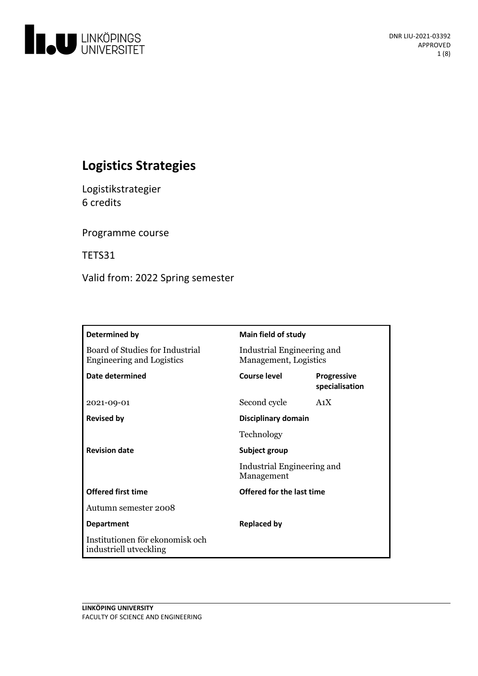

# **Logistics Strategies**

Logistikstrategier 6 credits

Programme course

TETS31

Valid from: 2022 Spring semester

| Determined by                                                       | Main field of study                                 |                               |
|---------------------------------------------------------------------|-----------------------------------------------------|-------------------------------|
| Board of Studies for Industrial<br><b>Engineering and Logistics</b> | Industrial Engineering and<br>Management, Logistics |                               |
| Date determined                                                     | Course level                                        | Progressive<br>specialisation |
| 2021-09-01                                                          | Second cycle                                        | A <sub>1</sub> X              |
| <b>Revised by</b>                                                   | Disciplinary domain                                 |                               |
|                                                                     | Technology                                          |                               |
| <b>Revision date</b>                                                | Subject group                                       |                               |
|                                                                     | Industrial Engineering and<br>Management            |                               |
| <b>Offered first time</b>                                           | Offered for the last time                           |                               |
| Autumn semester 2008                                                |                                                     |                               |
| <b>Department</b>                                                   | <b>Replaced by</b>                                  |                               |
| Institutionen för ekonomisk och<br>industriell utveckling           |                                                     |                               |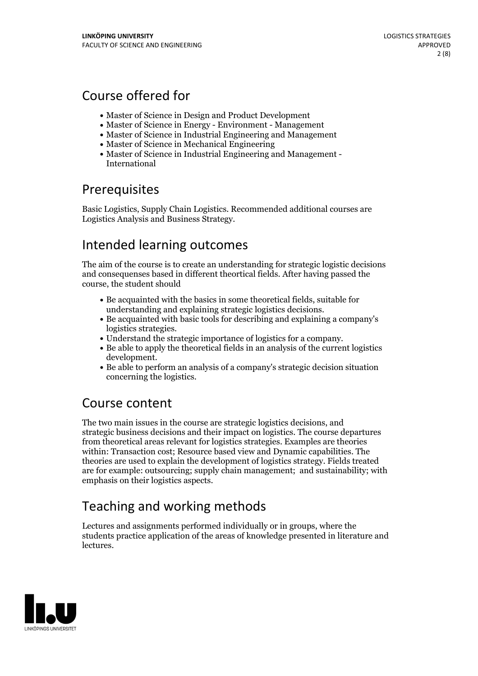# Course offered for

- Master of Science in Design and Product Development
- Master of Science in Energy Environment Management
- Master of Science in Industrial Engineering and Management
- Master of Science in Mechanical Engineering
- Master of Science in Industrial Engineering and Management International

# **Prerequisites**

Basic Logistics, Supply Chain Logistics. Recommended additional courses are Logistics Analysis and Business Strategy.

# Intended learning outcomes

The aim of the course is to create an understanding for strategic logistic decisions and consequenses based in different theortical fields. After having passed the course, the student should

- Be acquainted with the basics in some theoretical fields, suitable for
- understanding and explaining strategic logistics decisions. Be acquainted with basic tools for describing and explaining <sup>a</sup> company's logistics strategies.<br>
• Understand the strategic importance of logistics for a company.<br>
• Be able to apply the theoretical fields in an analysis of the current logistics
- 
- development.<br>• Be able to perform an analysis of a company's strategic decision situation
- concerning the logistics.

# Course content

The two main issues in the course are strategic logistics decisions, and strategic business decisions and their impact on logistics. The course departures from theoretical areas relevant for logistics strategies. Examples are theories within: Transaction cost; Resource based view and Dynamic capabilities. The theories are used to explain the development of logistics strategy. Fields treated are for example: outsourcing; supply chain management; and sustainability; with emphasis on their logistics aspects.

# Teaching and working methods

Lectures and assignments performed individually or in groups, where the students practice application of the areas of knowledge presented in literature and lectures.

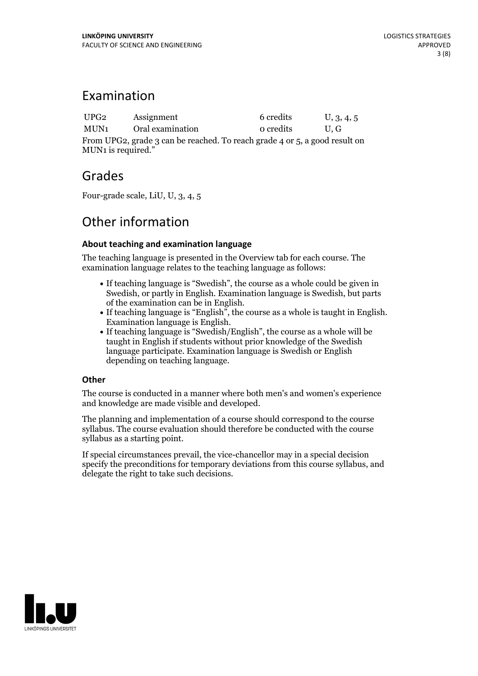## Examination

UPG2 Assignment 6 credits U, 3, 4, 5 MUN1 Oral examination 0 credits U, G From UPG2, grade 3 can be reached. To reach grade 4 or 5, a good result on MUN1 is required."

## Grades

Four-grade scale, LiU, U, 3, 4, 5

# Other information

## **About teaching and examination language**

The teaching language is presented in the Overview tab for each course. The examination language relates to the teaching language as follows:

- If teaching language is "Swedish", the course as a whole could be given in Swedish, or partly in English. Examination language is Swedish, but parts
- of the examination can be in English. If teaching language is "English", the course as <sup>a</sup> whole is taught in English. Examination language is English. If teaching language is "Swedish/English", the course as <sup>a</sup> whole will be
- taught in English if students without prior knowledge of the Swedish language participate. Examination language is Swedish or English depending on teaching language.

## **Other**

The course is conducted in a manner where both men's and women's experience and knowledge are made visible and developed.

The planning and implementation of a course should correspond to the course syllabus. The course evaluation should therefore be conducted with the course syllabus as a starting point.

If special circumstances prevail, the vice-chancellor may in a special decision specify the preconditions for temporary deviations from this course syllabus, and delegate the right to take such decisions.

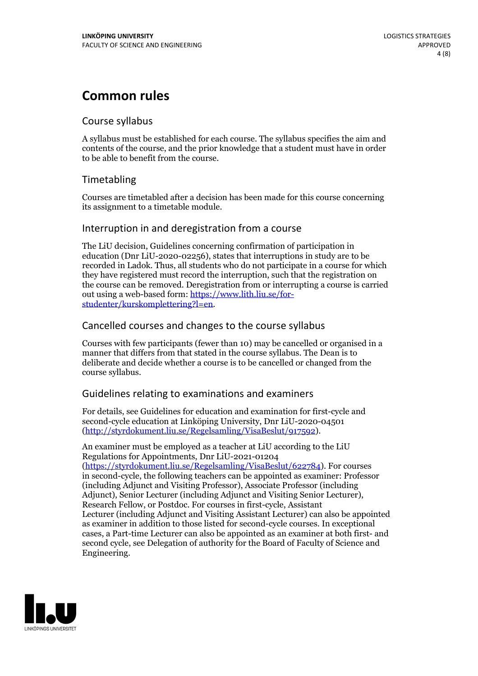# **Common rules**

## Course syllabus

A syllabus must be established for each course. The syllabus specifies the aim and contents of the course, and the prior knowledge that a student must have in order to be able to benefit from the course.

## Timetabling

Courses are timetabled after a decision has been made for this course concerning its assignment to a timetable module.

## Interruption in and deregistration from a course

The LiU decision, Guidelines concerning confirmation of participation in education (Dnr LiU-2020-02256), states that interruptions in study are to be recorded in Ladok. Thus, all students who do not participate in a course for which they have registered must record the interruption, such that the registration on the course can be removed. Deregistration from or interrupting a course is carried out using <sup>a</sup> web-based form: https://www.lith.liu.se/for- [studenter/kurskomplettering?l=en.](https://www.lith.liu.se/for-studenter/kurskomplettering?l=en)

## Cancelled courses and changes to the course syllabus

Courses with few participants (fewer than 10) may be cancelled or organised in a manner that differs from that stated in the course syllabus. The Dean is to deliberate and decide whether a course is to be cancelled or changed from the course syllabus.

## Guidelines relating to examinations and examiners

For details, see Guidelines for education and examination for first-cycle and second-cycle education at Linköping University, Dnr LiU-2020-04501 [\(http://styrdokument.liu.se/Regelsamling/VisaBeslut/917592\)](http://styrdokument.liu.se/Regelsamling/VisaBeslut/917592).

An examiner must be employed as a teacher at LiU according to the LiU Regulations for Appointments, Dnr LiU-2021-01204 [\(https://styrdokument.liu.se/Regelsamling/VisaBeslut/622784](https://styrdokument.liu.se/Regelsamling/VisaBeslut/622784)). For courses in second-cycle, the following teachers can be appointed as examiner: Professor (including Adjunct and Visiting Professor), Associate Professor (including Adjunct), Senior Lecturer (including Adjunct and Visiting Senior Lecturer), Research Fellow, or Postdoc. For courses in first-cycle, Assistant Lecturer (including Adjunct and Visiting Assistant Lecturer) can also be appointed as examiner in addition to those listed for second-cycle courses. In exceptional cases, a Part-time Lecturer can also be appointed as an examiner at both first- and second cycle, see Delegation of authority for the Board of Faculty of Science and Engineering.

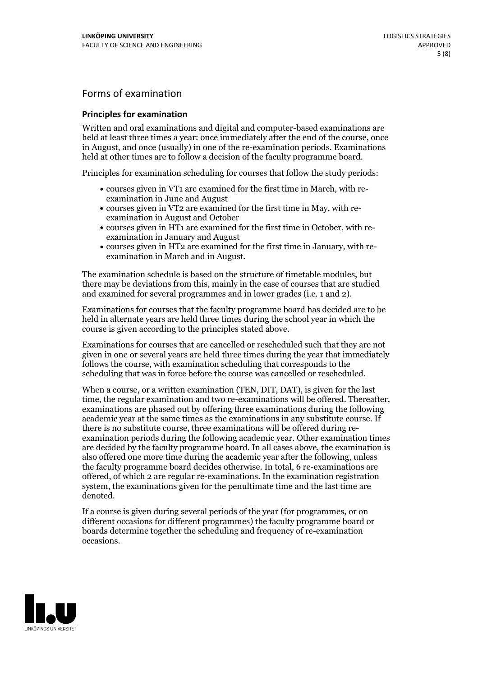## Forms of examination

#### **Principles for examination**

Written and oral examinations and digital and computer-based examinations are held at least three times a year: once immediately after the end of the course, once in August, and once (usually) in one of the re-examination periods. Examinations held at other times are to follow a decision of the faculty programme board.

Principles for examination scheduling for courses that follow the study periods:

- courses given in VT1 are examined for the first time in March, with re-examination in June and August
- courses given in VT2 are examined for the first time in May, with re-examination in August and October
- courses given in HT1 are examined for the first time in October, with re-examination in January and August
- courses given in HT2 are examined for the first time in January, with re-examination in March and in August.

The examination schedule is based on the structure of timetable modules, but there may be deviations from this, mainly in the case of courses that are studied and examined for several programmes and in lower grades (i.e. 1 and 2).

Examinations for courses that the faculty programme board has decided are to be held in alternate years are held three times during the school year in which the course is given according to the principles stated above.

Examinations for courses that are cancelled orrescheduled such that they are not given in one or several years are held three times during the year that immediately follows the course, with examination scheduling that corresponds to the scheduling that was in force before the course was cancelled or rescheduled.

When a course, or a written examination (TEN, DIT, DAT), is given for the last time, the regular examination and two re-examinations will be offered. Thereafter, examinations are phased out by offering three examinations during the following academic year at the same times as the examinations in any substitute course. If there is no substitute course, three examinations will be offered during re- examination periods during the following academic year. Other examination times are decided by the faculty programme board. In all cases above, the examination is also offered one more time during the academic year after the following, unless the faculty programme board decides otherwise. In total, 6 re-examinations are offered, of which 2 are regular re-examinations. In the examination registration system, the examinations given for the penultimate time and the last time are denoted.

If a course is given during several periods of the year (for programmes, or on different occasions for different programmes) the faculty programme board or boards determine together the scheduling and frequency of re-examination occasions.

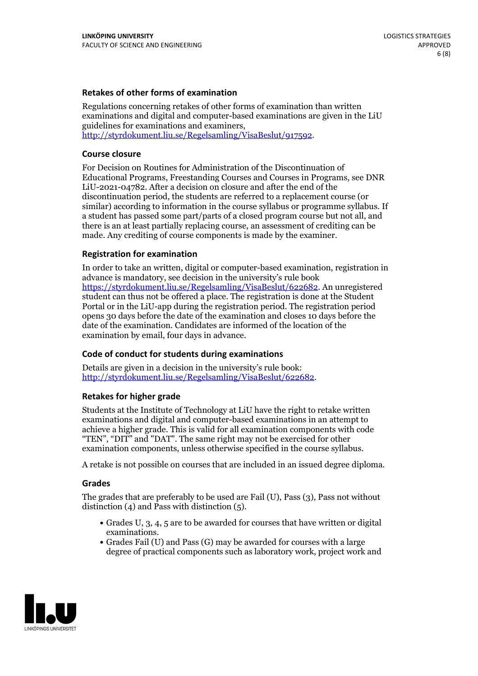### **Retakes of other forms of examination**

Regulations concerning retakes of other forms of examination than written examinations and digital and computer-based examinations are given in the LiU guidelines for examinations and examiners, [http://styrdokument.liu.se/Regelsamling/VisaBeslut/917592.](http://styrdokument.liu.se/Regelsamling/VisaBeslut/917592)

#### **Course closure**

For Decision on Routines for Administration of the Discontinuation of Educational Programs, Freestanding Courses and Courses in Programs, see DNR LiU-2021-04782. After a decision on closure and after the end of the discontinuation period, the students are referred to a replacement course (or similar) according to information in the course syllabus or programme syllabus. If a student has passed some part/parts of a closed program course but not all, and there is an at least partially replacing course, an assessment of crediting can be made. Any crediting of course components is made by the examiner.

#### **Registration for examination**

In order to take an written, digital or computer-based examination, registration in advance is mandatory, see decision in the university's rule book [https://styrdokument.liu.se/Regelsamling/VisaBeslut/622682.](https://styrdokument.liu.se/Regelsamling/VisaBeslut/622682) An unregistered student can thus not be offered a place. The registration is done at the Student Portal or in the LiU-app during the registration period. The registration period opens 30 days before the date of the examination and closes 10 days before the date of the examination. Candidates are informed of the location of the examination by email, four days in advance.

#### **Code of conduct for students during examinations**

Details are given in a decision in the university's rule book: <http://styrdokument.liu.se/Regelsamling/VisaBeslut/622682>.

#### **Retakes for higher grade**

Students at the Institute of Technology at LiU have the right to retake written examinations and digital and computer-based examinations in an attempt to achieve a higher grade. This is valid for all examination components with code "TEN", "DIT" and "DAT". The same right may not be exercised for other examination components, unless otherwise specified in the course syllabus.

A retake is not possible on courses that are included in an issued degree diploma.

#### **Grades**

The grades that are preferably to be used are Fail (U), Pass (3), Pass not without distinction  $(4)$  and Pass with distinction  $(5)$ .

- Grades U, 3, 4, 5 are to be awarded for courses that have written or digital examinations.<br>• Grades Fail (U) and Pass (G) may be awarded for courses with a large
- degree of practical components such as laboratory work, project work and

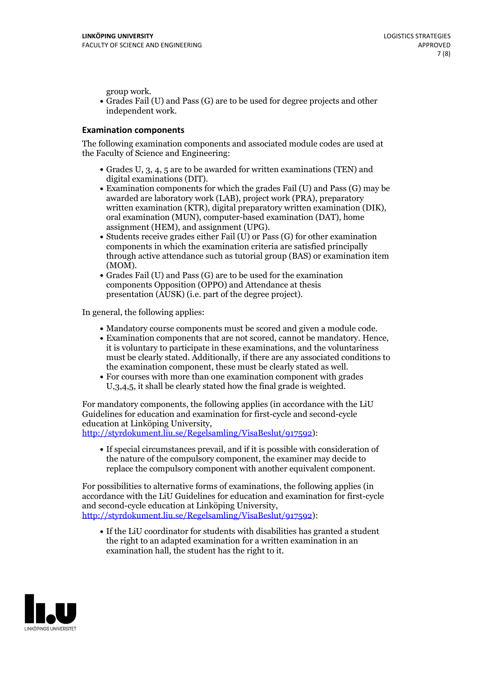group work.<br>• Grades Fail (U) and Pass (G) are to be used for degree projects and other independent work.

#### **Examination components**

The following examination components and associated module codes are used at the Faculty of Science and Engineering:

- Grades U, 3, 4, 5 are to be awarded for written examinations (TEN) and
- digital examinations (DIT).<br>• Examination components for which the grades Fail (U) and Pass (G) may be awarded are laboratory work (LAB), project work (PRA), preparatory written examination (KTR), digital preparatory written examination (DIK), oral examination (MUN), computer-based examination (DAT), home
- assignment (HEM), and assignment (UPG).<br>• Students receive grades either Fail (U) or Pass (G) for other examination components in which the examination criteria are satisfied principally through active attendance such as tutorial group (BAS) or examination item
- (MOM).<br>• Grades Fail (U) and Pass (G) are to be used for the examination components Opposition (OPPO) and Attendance at thesis presentation (AUSK) (i.e. part of the degree project).

In general, the following applies:

- 
- Mandatory course components must be scored and given <sup>a</sup> module code. Examination components that are not scored, cannot be mandatory. Hence, it is voluntary to participate in these examinations, and the voluntariness must be clearly stated. Additionally, if there are any associated conditions to
- the examination component, these must be clearly stated as well.<br>• For courses with more than one examination component with grades U,3,4,5, it shall be clearly stated how the final grade is weighted.

For mandatory components, the following applies (in accordance with the LiU Guidelines for education and examination for first-cycle and second-cycle education at Linköping University,<br>[http://styrdokument.liu.se/Regelsamling/VisaBeslut/917592\)](http://styrdokument.liu.se/Regelsamling/VisaBeslut/917592):

If special circumstances prevail, and if it is possible with consideration of the nature of the compulsory component, the examiner may decide to replace the compulsory component with another equivalent component.

For possibilities to alternative forms of examinations, the following applies (in accordance with the LiU Guidelines for education and examination for first-cycle [http://styrdokument.liu.se/Regelsamling/VisaBeslut/917592\)](http://styrdokument.liu.se/Regelsamling/VisaBeslut/917592):

If the LiU coordinator for students with disabilities has granted a student the right to an adapted examination for a written examination in an examination hall, the student has the right to it.